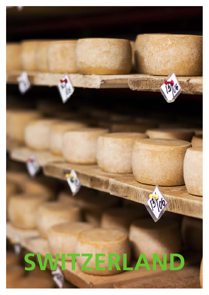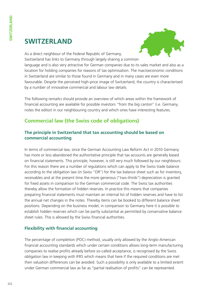# **Switzerland**



As a direct neighbour of the Federal Republic of Germany, Switzerland has links to Germany through largely sharing a common

language and is also very attractive for German companies due to its sales market and also as a location for holding companies for reasons of tax optimisation. The macroeconomic conditions in Switzerland are similar to those found in Germany and in many cases are even more favourable. Despite the perceived high-price image of Switzerland, the country is characterised by a number of innovative commercial and labour law details.

The following remarks should provide an overview of which areas within the framework of financial accounting are available for possible investors "from the big canton" (i.e. Germany, notes the editor) in our neighbouring country and which ones have interesting features.

# **Commercial law (the Swiss code of obligations)**

## **The principle in Switzerland that tax accounting should be based on commercial accounting**

In terms of commercial law, since the German Accounting Law Reform Act in 2010 Germany has more or less abandoned the authoritative principle that tax accounts are generally based on financial statements. This principle, however, is still very much followed by our neighbours: For this reason there are a number of regulations which can apply to the Swiss trade balance according to the obligation law (in Swiss "OR") for the tax balance sheet such as for inventory, receivables and at the present time the more generous ("two-thirds") depreciation is granted for fixed assets in comparison to the German commercial code. The Swiss tax authorities thereby allow the formation of hidden reserves. In practice this means that companies preparing financial statements must maintain an internal list of hidden reserves and have to list the annual net changes in the notes. Thereby items can be booked to different balance sheet positions. Depending on the business model, in comparison to Germany here it is possible to establish hidden reserves which can be partly substantial as permitted by conservative balance sheet rules. This is allowed by the Swiss financial authorities.

### **Flexibility with financial accounting**

The percentage of completion (POC) method, usually only allowed by the Anglo-American financial accounting standards which under certain conditions allows long-term manufacturing companies to realise profits already before so-called acceptance, is recognised by the Swiss obligation law in keeping with IFRS which means that here if the required conditions are met then valuation differences can be avoided. Such a possibility is only available to a limited extent under German commercial law as far as "partial realisation of profits" can be represented.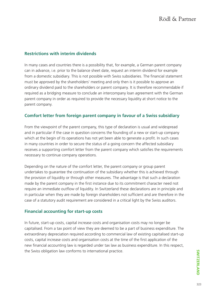### **Restrictions with interim dividends**

In many cases and countries there is a possibility that, for example, a German parent company can in advance, i.e. prior to the balance sheet date, request an interim dividend for example from a domestic subsidiary. This is not possible with Swiss subsidiaries. The financial statement must be approved by the shareholders' meeting and only then is it possible to approve an ordinary dividend paid to the shareholders or parent company. It is therefore recommendable if required as a bridging measure to conclude an intercompany loan agreement with the German parent company in order as required to provide the necessary liquidity at short notice to the parent company.

### **Comfort letter from foreign parent company in favour of a Swiss subsidiary**

From the viewpoint of the parent company, this type of declaration is usual and widespread and in particular if the case in question concerns the founding of a new or start-up company which at the begin of its operations has not yet been able to generate a profit. In such cases in many countries in order to secure the status of a going concern the affected subsidiary receives a supporting comfort letter from the parent company which satisfies the requirements necessary to continue company operations.

Depending on the nature of the comfort letter, the parent company or group parent undertakes to guarantee the continuation of the subsidiary whether this is achieved through the provision of liquidity or through other measures. The advantage is that such a declaration made by the parent company in the first instance due to its commitment character need not require an immediate outflow of liquidity. In Switzerland these declarations are in principle and in particular when they are made by foreign shareholders not sufficient and are therefore in the case of a statutory audit requirement are considered in a critical light by the Swiss auditors.

#### **Financial accounting for start-up costs**

In future, start-up costs, capital increase costs and organisation costs may no longer be capitalised. From a tax point of view they are deemed to be a part of business expenditure. The extraordinary depreciation required according to commercial law of existing capitalised start-up costs, capital increase costs and organisation costs at the time of the first application of the new financial accounting law is regarded under tax law as business expenditure. In this respect, the Swiss obligation law conforms to international practice.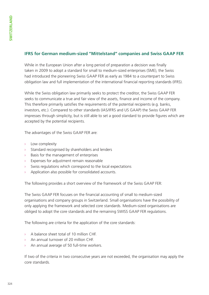### **IFRS for German medium-sized "Mittelstand" companies and Swiss GAAP FER**

While in the European Union after a long period of preparation a decision was finally taken in 2009 to adopt a standard for small to medium-sized enterprises (SME), the Swiss had introduced the pioneering Swiss GAAP FER as early as 1984 to a counterpart to Swiss obligation law and full implementation of the international financial reporting standards (IFRS).

While the Swiss obligation law primarily seeks to protect the creditor, the Swiss GAAP FER seeks to communicate a true and fair view of the assets, finance and income of the company. This therefore primarily satisfies the requirements of the potential recipients (e.g. banks, investors, etc.). Compared to other standards (IAS/IFRS and US GAAP) the Swiss GAAP FER impresses through simplicity, but is still able to set a good standard to provide figures which are accepted by the potential recipients.

The advantages of the Swiss GAAP FER are:

- › Low complexity
- Standard recognised by shareholders and lenders
- Basis for the management of enterprises
- Expenses for adjustment remain reasonable
- Swiss regulations which correspond to the local expectations
- Application also possible for consolidated accounts.

The following provides a short overview of the framework of the Swiss GAAP FER:

The Swiss GAAP FER focuses on the financial accounting of small to medium-sized organisations and company groups in Switzerland. Small organisations have the possibility of only applying the framework and selected core standards. Medium-sized organisations are obliged to adopt the core standards and the remaining SWISS GAAP FER regulations.

The following are criteria for the application of the core standards:

- › A balance sheet total of 10 million CHF.
- An annual turnover of 20 million CHF.
- An annual average of 50 full-time workers.

If two of the criteria in two consecutive years are not exceeded, the organisation may apply the core standards.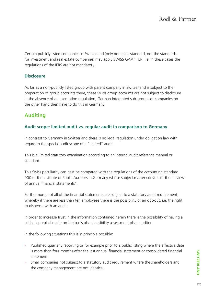Certain publicly listed companies in Switzerland (only domestic standard, not the standards for investment and real estate companies) may apply SWISS GAAP FER, i.e. in these cases the regulations of the IFRS are not mandatory.

### **Disclosure**

As far as a non-publicly listed group with parent company in Switzerland is subject to the preparation of group accounts there, these Swiss group accounts are not subject to disclosure. In the absence of an exemption regulation, German integrated sub-groups or companies on the other hand then have to do this in Germany.

# **Auditing**

### **Audit scope: limited audit vs. regular audit in comparison to Germany**

In contrast to Germany in Switzerland there is no legal regulation under obligation law with regard to the special audit scope of a "limited" audit.

This is a limited statutory examination according to an internal audit reference manual or standard.

This Swiss peculiarity can best be compared with the regulations of the accounting standard 900 of the Institute of Public Auditors in Germany whose subject matter consists of the "review of annual financial statements".

Furthermore, not all of the financial statements are subject to a statutory audit requirement, whereby if there are less than ten employees there is the possibility of an opt-out, i.e. the right to dispense with an audit.

In order to increase trust in the information contained herein there is the possibility of having a critical appraisal made on the basis of a plausibility assessment of an auditor.

In the following situations this is in principle possible:

- Published quarterly reporting or for example prior to a public listing where the effective date is more than four months after the last annual financial statement or consolidated financial statement.
- $\rightarrow$  Small companies not subject to a statutory audit requirement where the shareholders and the company management are not identical.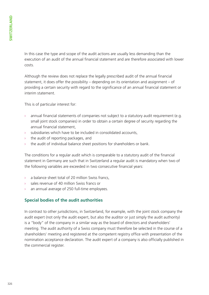In this case the type and scope of the audit actions are usually less demanding than the execution of an audit of the annual financial statement and are therefore associated with lower costs.

Although the review does not replace the legally prescribed audit of the annual financial statement, it does offer the possibility – depending on its orientation and assignment – of providing a certain security with regard to the significance of an annual financial statement or interim statement.

This is of particular interest for:

- $\rightarrow$  annual financial statements of companies not subject to a statutory audit requirement (e.g. small joint stock companies) in order to obtain a certain degree of security regarding the annual financial statement,
- subsidiaries which have to be included in consolidated accounts,
- the audit of reporting packages, and
- the audit of individual balance sheet positions for shareholders or bank.

The conditions for a regular audit which is comparable to a statutory audit of the financial statement in Germany are such that in Switzerland a regular audit is mandatory when two of the following variables are exceeded in two consecutive financial years:

- › a balance sheet total of 20 million Swiss francs,
- sales revenue of 40 million Swiss francs or
- an annual average of 250 full-time employees.

### **Special bodies of the audit authorities**

In contrast to other jurisdictions, in Switzerland, for example, with the joint stock company the audit expert (not only the audit expert, but also the auditor or just simply the audit authority) is a "body" of the company in a similar way as the board of directors and shareholders' meeting. The audit authority of a Swiss company must therefore be selected in the course of a shareholders' meeting and registered at the competent registry office with presentation of the nomination acceptance declaration. The audit expert of a company is also officially published in the commercial register.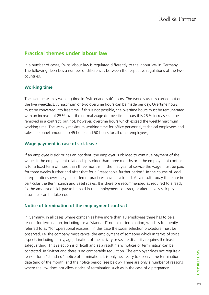# **Practical themes under labour law**

In a number of cases, Swiss labour law is regulated differently to the labour law in Germany. The following describes a number of differences between the respective regulations of the two countries.

### **Working time**

The average weekly working time in Switzerland is 40 hours. The work is usually carried out on the five weekdays. A maximum of two overtime hours can be made per day. Overtime hours must be converted into free time. If this is not possible, the overtime hours must be remunerated with an increase of 25% over the normal wage (for overtime hours this 25% increase can be removed in a contract, but not, however, overtime hours which exceed the weekly maximum working time. The weekly maximum working time for office personnel, technical employees and sales personnel amounts to 45 hours and 50 hours for all other employees).

### **Wage payment in case of sick leave**

If an employee is sick or has an accident, the employer is obliged to continue payment of the wages if the employment relationship is older than three months or if the employment contract is for a fixed term of more than three months. In the first year of service the wage must be paid for three weeks further and after that for a "reasonable further period". In the course of legal interpretations over the years different practices have developed. As a result, today there are in particular the Bern, Zürich and Basel scales. It is therefore recommended as required to already fix the amount of sick pay to be paid in the employment contract, or alternatively sick pay insurance can be taken out.

### **Notice of termination of the employment contract**

In Germany, in all cases where companies have more than 10 employees there has to be a reason for termination, including for a "standard" notice of termination, which is frequently referred to as "for operational reasons". In this case the social selection procedure must be observed, i.e. the company must cancel the employment of someone which in terms of social aspects including family, age, duration of the activity or severe disability requires the least safeguarding. This selection is difficult and as a result many notices of termination can be contested. In Switzerland there is no comparable regulation. The employer does not require a reason for a "standard" notice of termination. It is only necessary to observe the termination date (end of the month) and the notice period (see below). There are only a number of reasons where the law does not allow notice of termination such as in the case of a pregnancy.